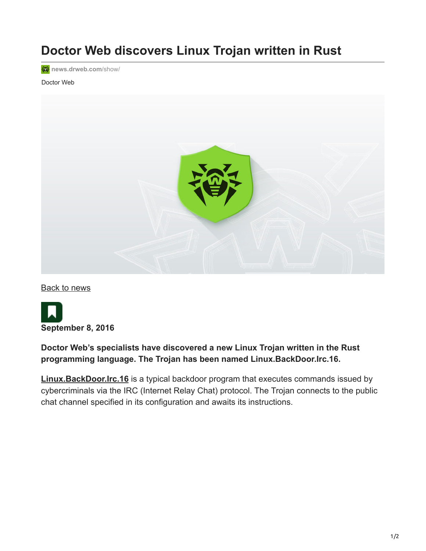# **Doctor Web discovers Linux Trojan written in Rust**

**<sup></sup>** [news.drweb.com](https://news.drweb.com/show/?c=5&i=10193&lng=en)/show/

#### Doctor Web



[Back to news](https://news.drweb.com/list/?p=0&lng=en&c=5)



#### **Doctor Web's specialists have discovered a new Linux Trojan written in the Rust programming language. The Trojan has been named Linux.BackDoor.Irc.16.**

**[Linux.BackDoor.Irc.16](https://vms.drweb.com/search/?q=Linux.BackDoor.Irc.16&lng=en)** is a typical backdoor program that executes commands issued by cybercriminals via the IRC (Internet Relay Chat) protocol. The Trojan connects to the public chat channel specified in its configuration and awaits its instructions.